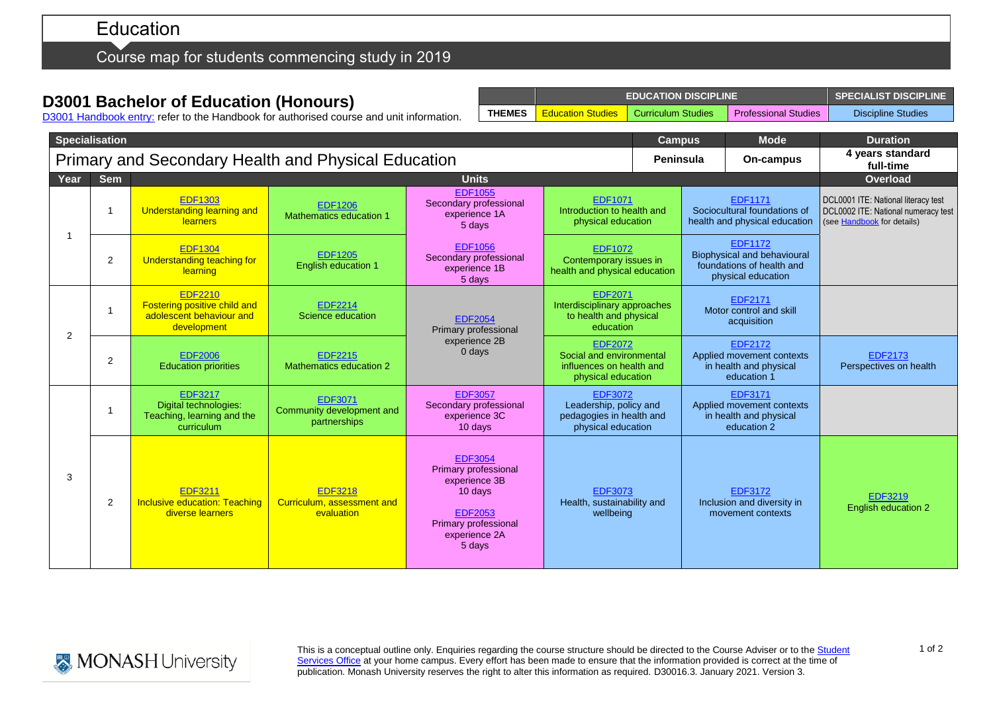# Education

### Course map for students commencing study in 2019

## **D3001 Bachelor of Education (Honours)**

**EDUCATION DISCIPLINE SPECIALIST DISCIPLINE THEMES** Education Studies Curriculum Studies Professional Studies Discipline Studies

D3001 [Handbook entry:](http://www.monash.edu.au/pubs/2019handbooks/courses/D3001.html) refer to the Handbook for authorised course and unit information.

| <b>Specialisation</b>                               |                |                                                                                                  |                                                            |                                                                                                                                         |                                                                                              |  | <b>Campus</b> | Mode                                                                                             | <b>Duration</b>                                                                                          |
|-----------------------------------------------------|----------------|--------------------------------------------------------------------------------------------------|------------------------------------------------------------|-----------------------------------------------------------------------------------------------------------------------------------------|----------------------------------------------------------------------------------------------|--|---------------|--------------------------------------------------------------------------------------------------|----------------------------------------------------------------------------------------------------------|
| Primary and Secondary Health and Physical Education |                |                                                                                                  |                                                            |                                                                                                                                         |                                                                                              |  |               | On-campus                                                                                        | 4 years standard<br>full-time                                                                            |
| Year                                                | <b>Sem</b>     |                                                                                                  |                                                            | <b>Units</b>                                                                                                                            |                                                                                              |  |               |                                                                                                  | <b>Overload</b>                                                                                          |
|                                                     |                | <b>EDF1303</b><br><b>Understanding learning and</b><br><b>learners</b>                           | <b>EDF1206</b><br>Mathematics education 1                  | <b>EDF1055</b><br>Secondary professional<br>experience 1A<br>5 days                                                                     | <b>EDF1071</b><br>Introduction to health and<br>physical education                           |  |               | <b>EDF1171</b><br>Sociocultural foundations of<br>health and physical education                  | DCL0001 ITE: National literacy test<br>DCL0002 ITE: National numeracy test<br>(see Handbook for details) |
|                                                     | 2              | <b>EDF1304</b><br>Understanding teaching for<br>learning                                         | <b>EDF1205</b><br>English education 1                      | <b>EDF1056</b><br>Secondary professional<br>experience 1B<br>5 days                                                                     | <b>EDF1072</b><br>Contemporary issues in<br>health and physical education                    |  |               | <b>EDF1172</b><br>Biophysical and behavioural<br>foundations of health and<br>physical education |                                                                                                          |
| 2                                                   |                | <b>EDF2210</b><br><b>Fostering positive child and</b><br>adolescent behaviour and<br>development | <b>EDF2214</b><br>Science education                        | <b>EDF2054</b><br>Primary professional                                                                                                  | <b>EDF2071</b><br>Interdisciplinary approaches<br>to health and physical<br>education        |  |               | <b>EDF2171</b><br>Motor control and skill<br>acquisition                                         |                                                                                                          |
|                                                     | $\overline{2}$ | <b>EDF2006</b><br><b>Education priorities</b>                                                    | <b>EDF2215</b><br>Mathematics education 2                  | experience 2B<br>0 days                                                                                                                 | <b>EDF2072</b><br>Social and environmental<br>influences on health and<br>physical education |  |               | <b>EDF2172</b><br>Applied movement contexts<br>in health and physical<br>education 1             | EDF2173<br>Perspectives on health                                                                        |
| 3                                                   |                | <b>EDF3217</b><br>Digital technologies:<br>Teaching, learning and the<br>curriculum              | EDF3071<br>Community development and<br>partnerships       | <b>EDF3057</b><br>Secondary professional<br>experience 3C<br>10 days                                                                    | <b>EDF3072</b><br>Leadership, policy and<br>pedagogies in health and<br>physical education   |  |               | <b>EDF3171</b><br>Applied movement contexts<br>in health and physical<br>education 2             |                                                                                                          |
|                                                     | 2              | <b>EDF3211</b><br><b>Inclusive education: Teaching</b><br>diverse learners                       | <b>EDF3218</b><br>Curriculum, assessment and<br>evaluation | <b>EDF3054</b><br>Primary professional<br>experience 3B<br>10 days<br><b>EDF2053</b><br>Primary professional<br>experience 2A<br>5 days | <b>EDF3073</b><br>Health, sustainability and<br>wellbeing                                    |  |               | <b>EDF3172</b><br>Inclusion and diversity in<br>movement contexts                                | <b>EDF3219</b><br><b>English education 2</b>                                                             |



This is a conceptual outline only. Enquiries regarding the course structure should be directed to the Course Adviser or to th[e Student](https://www.monash.edu/education/current-students/contact) 1 of 2 [Services Office](https://www.monash.edu/education/current-students/contact) at your home campus. Every effort has been made to ensure that the information provided is correct at the time of publication. Monash University reserves the right to alter this information as required. D30016.3. January 2021. Version 3.